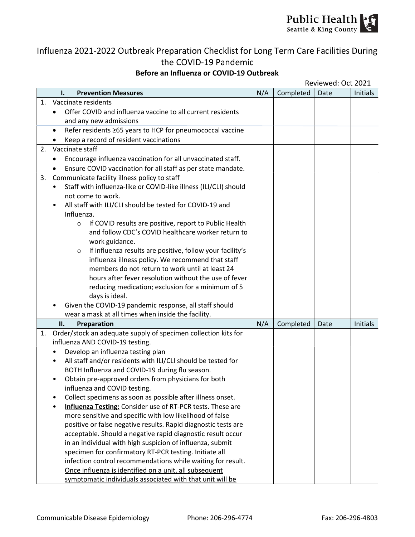

## Influenza 2021-2022 Outbreak Preparation Checklist for Long Term Care Facilities During the COVID-19 Pandemic

## Before an Influenza or COVID-19 Outbreak

|    |           | Reviewed: Oct 2021                                                                  |     |           |      |          |  |
|----|-----------|-------------------------------------------------------------------------------------|-----|-----------|------|----------|--|
|    |           | <b>Prevention Measures</b><br>ı.                                                    | N/A | Completed | Date | Initials |  |
| 1. |           | Vaccinate residents                                                                 |     |           |      |          |  |
|    |           | Offer COVID and influenza vaccine to all current residents                          |     |           |      |          |  |
|    |           | and any new admissions                                                              |     |           |      |          |  |
|    |           | Refer residents ≥65 years to HCP for pneumococcal vaccine                           |     |           |      |          |  |
|    |           | Keep a record of resident vaccinations                                              |     |           |      |          |  |
| 2. |           | Vaccinate staff                                                                     |     |           |      |          |  |
|    | ٠         | Encourage influenza vaccination for all unvaccinated staff.                         |     |           |      |          |  |
|    |           | Ensure COVID vaccination for all staff as per state mandate.                        |     |           |      |          |  |
| 3. |           | Communicate facility illness policy to staff                                        |     |           |      |          |  |
|    | $\bullet$ | Staff with influenza-like or COVID-like illness (ILI/CLI) should                    |     |           |      |          |  |
|    |           | not come to work.                                                                   |     |           |      |          |  |
|    | ٠         | All staff with ILI/CLI should be tested for COVID-19 and                            |     |           |      |          |  |
|    |           | Influenza.                                                                          |     |           |      |          |  |
|    |           | If COVID results are positive, report to Public Health<br>$\circ$                   |     |           |      |          |  |
|    |           | and follow CDC's COVID healthcare worker return to                                  |     |           |      |          |  |
|    |           | work guidance.                                                                      |     |           |      |          |  |
|    |           | If influenza results are positive, follow your facility's<br>$\circ$                |     |           |      |          |  |
|    |           | influenza illness policy. We recommend that staff                                   |     |           |      |          |  |
|    |           | members do not return to work until at least 24                                     |     |           |      |          |  |
|    |           | hours after fever resolution without the use of fever                               |     |           |      |          |  |
|    |           | reducing medication; exclusion for a minimum of 5                                   |     |           |      |          |  |
|    |           | days is ideal.                                                                      |     |           |      |          |  |
|    |           | Given the COVID-19 pandemic response, all staff should                              |     |           |      |          |  |
|    |           | wear a mask at all times when inside the facility.                                  |     |           |      | Initials |  |
|    |           | Preparation<br>н.<br>Order/stock an adequate supply of specimen collection kits for | N/A | Completed | Date |          |  |
| 1. |           | influenza AND COVID-19 testing.                                                     |     |           |      |          |  |
|    | $\bullet$ | Develop an influenza testing plan                                                   |     |           |      |          |  |
|    | ٠         | All staff and/or residents with ILI/CLI should be tested for                        |     |           |      |          |  |
|    |           | BOTH Influenza and COVID-19 during flu season.                                      |     |           |      |          |  |
|    |           | Obtain pre-approved orders from physicians for both                                 |     |           |      |          |  |
|    |           | influenza and COVID testing.                                                        |     |           |      |          |  |
|    | ٠         | Collect specimens as soon as possible after illness onset.                          |     |           |      |          |  |
|    |           | <b>Influenza Testing:</b> Consider use of RT-PCR tests. These are                   |     |           |      |          |  |
|    |           | more sensitive and specific with low likelihood of false                            |     |           |      |          |  |
|    |           | positive or false negative results. Rapid diagnostic tests are                      |     |           |      |          |  |
|    |           | acceptable. Should a negative rapid diagnostic result occur                         |     |           |      |          |  |
|    |           | in an individual with high suspicion of influenza, submit                           |     |           |      |          |  |
|    |           | specimen for confirmatory RT-PCR testing. Initiate all                              |     |           |      |          |  |
|    |           | infection control recommendations while waiting for result.                         |     |           |      |          |  |
|    |           | Once influenza is identified on a unit, all subsequent                              |     |           |      |          |  |
|    |           | symptomatic individuals associated with that unit will be                           |     |           |      |          |  |